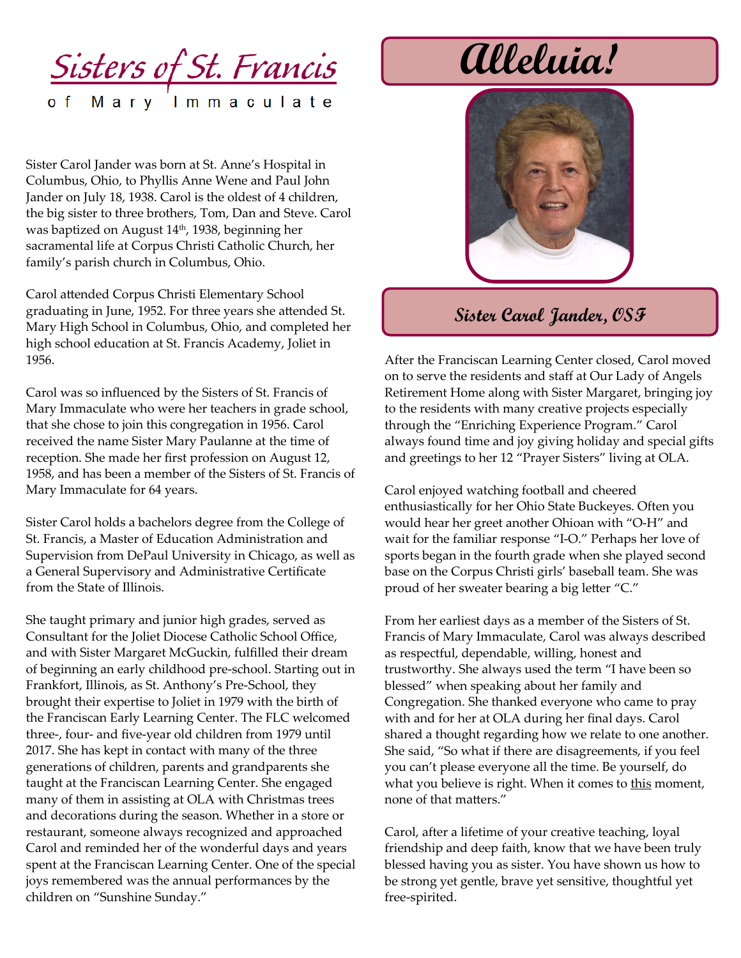<u>Sisters of St. Francis</u> of Mary Immaculate

Sister Carol Jander was born at St. Anne's Hospital in Columbus, Ohio, to Phyllis Anne Wene and Paul John Jander on July 18, 1938. Carol is the oldest of 4 children, the big sister to three brothers, Tom, Dan and Steve. Carol was baptized on August 14th, 1938, beginning her sacramental life at Corpus Christi Catholic Church, her family's parish church in Columbus, Ohio.

Carol attended Corpus Christi Elementary School graduating in June, 1952. For three years she attended St. Mary High School in Columbus, Ohio, and completed her high school education at St. Francis Academy, Joliet in 1956.

Carol was so influenced by the Sisters of St. Francis of Mary Immaculate who were her teachers in grade school, that she chose to join this congregation in 1956. Carol received the name Sister Mary Paulanne at the time of reception. She made her first profession on August 12, 1958, and has been a member of the Sisters of St. Francis of Mary Immaculate for 64 years.

Sister Carol holds a bachelors degree from the College of St. Francis, a Master of Education Administration and Supervision from DePaul University in Chicago, as well as a General Supervisory and Administrative Certificate from the State of Illinois.

She taught primary and junior high grades, served as Consultant for the Joliet Diocese Catholic School Office, and with Sister Margaret McGuckin, fulfilled their dream of beginning an early childhood pre-school. Starting out in Frankfort, Illinois, as St. Anthony's Pre-School, they brought their expertise to Joliet in 1979 with the birth of the Franciscan Early Learning Center. The FLC welcomed three-, four- and five-year old children from 1979 until 2017. She has kept in contact with many of the three generations of children, parents and grandparents she taught at the Franciscan Learning Center. She engaged many of them in assisting at OLA with Christmas trees and decorations during the season. Whether in a store or restaurant, someone always recognized and approached Carol and reminded her of the wonderful days and years spent at the Franciscan Learning Center. One of the special joys remembered was the annual performances by the children on "Sunshine Sunday."

**Alleluia!**



## **Sister Carol Jander, OSF**

After the Franciscan Learning Center closed, Carol moved on to serve the residents and staff at Our Lady of Angels Retirement Home along with Sister Margaret, bringing joy to the residents with many creative projects especially through the "Enriching Experience Program." Carol always found time and joy giving holiday and special gifts and greetings to her 12 "Prayer Sisters" living at OLA.

Carol enjoyed watching football and cheered enthusiastically for her Ohio State Buckeyes. Often you would hear her greet another Ohioan with "O-H" and wait for the familiar response "I-O." Perhaps her love of sports began in the fourth grade when she played second base on the Corpus Christi girls' baseball team. She was proud of her sweater bearing a big letter "C."

From her earliest days as a member of the Sisters of St. Francis of Mary Immaculate, Carol was always described as respectful, dependable, willing, honest and trustworthy. She always used the term "I have been so blessed" when speaking about her family and Congregation. She thanked everyone who came to pray with and for her at OLA during her final days. Carol shared a thought regarding how we relate to one another. She said, "So what if there are disagreements, if you feel you can't please everyone all the time. Be yourself, do what you believe is right. When it comes to this moment, none of that matters."

Carol, after a lifetime of your creative teaching, loyal friendship and deep faith, know that we have been truly blessed having you as sister. You have shown us how to be strong yet gentle, brave yet sensitive, thoughtful yet free-spirited.